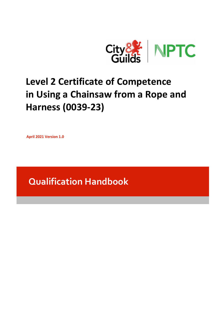

# **Level 2 Certificate of Competence in Using a Chainsaw from a Rope and Harness (0039-23)**

**April 2021 Version 1.0**

**Qualification Handbook**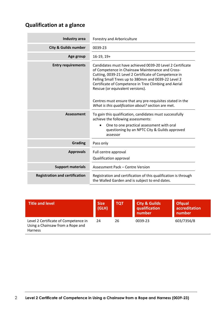# **Qualification at a glance**

ŕ

| Industry area                         | Forestry and Arboriculture                                                                                                                                                                                                                                                                                                                                                                                                                    |  |
|---------------------------------------|-----------------------------------------------------------------------------------------------------------------------------------------------------------------------------------------------------------------------------------------------------------------------------------------------------------------------------------------------------------------------------------------------------------------------------------------------|--|
| <b>City &amp; Guilds number</b>       | 0039-23                                                                                                                                                                                                                                                                                                                                                                                                                                       |  |
| Age group                             | 16-19, 19+                                                                                                                                                                                                                                                                                                                                                                                                                                    |  |
| <b>Entry requirements</b>             | Candidates must have achieved 0039-20 Level 2 Certificate<br>of Competence in Chainsaw Maintenance and Cross-<br>Cutting, 0039-21 Level 2 Certificate of Competence in<br>Felling Small Trees up to 380mm and 0039-22 Level 2<br>Certificate of Competence in Tree Climbing and Aerial<br>Rescue (or equivalent versions).<br>Centres must ensure that any pre-requisites stated in the<br>What is this qualification about? section are met. |  |
| <b>Assessment</b>                     | To gain this qualification, candidates must successfully                                                                                                                                                                                                                                                                                                                                                                                      |  |
|                                       | achieve the following assessments:                                                                                                                                                                                                                                                                                                                                                                                                            |  |
|                                       | One to one practical assessment with oral<br>$\bullet$<br>questioning by an NPTC City & Guilds approved<br>assessor                                                                                                                                                                                                                                                                                                                           |  |
| Grading                               | Pass only                                                                                                                                                                                                                                                                                                                                                                                                                                     |  |
| <b>Approvals</b>                      | Full centre approval                                                                                                                                                                                                                                                                                                                                                                                                                          |  |
|                                       | Qualification approval                                                                                                                                                                                                                                                                                                                                                                                                                        |  |
| <b>Support materials</b>              | <b>Assessment Pack - Centre Version</b>                                                                                                                                                                                                                                                                                                                                                                                                       |  |
| <b>Registration and certification</b> | Registration and certification of this qualification is through<br>the Walled Garden and is subject to end dates.                                                                                                                                                                                                                                                                                                                             |  |

| <b>Title and level</b>                                                                     | Size <sup>1</sup><br>(GLH) | <b>TQT</b> | <b>City &amp; Guilds</b><br>qualification<br>number | <b>Ofqual</b><br>accreditation<br>number |
|--------------------------------------------------------------------------------------------|----------------------------|------------|-----------------------------------------------------|------------------------------------------|
| Level 2 Certificate of Competence in<br>Using a Chainsaw from a Rope and<br><b>Harness</b> | 24                         | 26         | 0039-23                                             | 603/7356/8                               |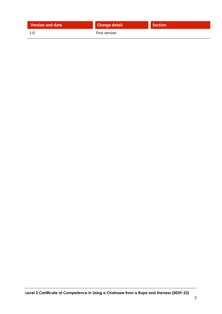|  |  | <b>Version and date</b> |  |  |
|--|--|-------------------------|--|--|
|  |  |                         |  |  |
|  |  |                         |  |  |

**Change detail Change detail Section** 

1.0 First version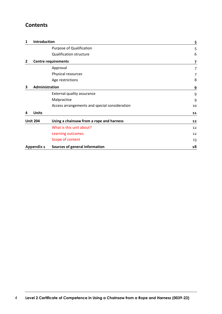## **Contents**

| 1                                            | <b>Introduction</b> |                                               | 5  |
|----------------------------------------------|---------------------|-----------------------------------------------|----|
|                                              |                     | Purpose of Qualification                      | 5  |
|                                              |                     | <b>Qualification structure</b>                | 6  |
| $\overline{2}$                               |                     | <b>Centre requirements</b>                    |    |
|                                              |                     | Approval                                      | 7  |
|                                              |                     | Physical resources                            | 7  |
|                                              |                     | Age restrictions                              | 8  |
| 3                                            | Administration      |                                               | 9  |
|                                              |                     | External quality assurance                    | 9  |
|                                              |                     | Malpractice                                   | 9  |
|                                              |                     | Access arrangements and special consideration | 10 |
| 4                                            | <b>Units</b>        |                                               | 11 |
| <b>Unit 204</b>                              |                     | Using a chainsaw from a rope and harness      | 12 |
|                                              |                     | What is this unit about?                      | 12 |
|                                              |                     | Learning outcomes                             | 12 |
|                                              |                     | Scope of content                              | 13 |
| Appendix 1<br>Sources of general information |                     |                                               | 18 |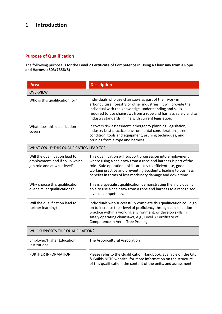# **1 Introduction**

### **Purpose of Qualification**

The following purpose is for the **Level 2 Certificate of Competence in Using a Chainsaw from a Rope and Harness (603/7356/8)**

| Area                                                                                             | <b>Description</b>                                                                                                                                                                                                                                                                                                          |  |  |  |
|--------------------------------------------------------------------------------------------------|-----------------------------------------------------------------------------------------------------------------------------------------------------------------------------------------------------------------------------------------------------------------------------------------------------------------------------|--|--|--|
| <b>OVERVIEW</b>                                                                                  |                                                                                                                                                                                                                                                                                                                             |  |  |  |
| Who is this qualification for?                                                                   | Individuals who use chainsaws as part of their work in<br>arboriculture, forestry or other industries. It will provide the<br>individual with the knowledge, understanding and skills<br>required to use chainsaws from a rope and harness safely and to<br>industry standards in line with current legislation.            |  |  |  |
| What does this qualification<br>cover?                                                           | It covers risk assessment, emergency planning, legislation,<br>industry best practice, environmental considerations, tree<br>condition, tools and equipment, pruning techniques, and<br>pruning from a rope and harness.                                                                                                    |  |  |  |
| WHAT COULD THIS QUALIFICATION LEAD TO?                                                           |                                                                                                                                                                                                                                                                                                                             |  |  |  |
| Will the qualification lead to<br>employment, and if so, in which<br>job role and at what level? | This qualification will support progression into employment<br>where using a chainsaw from a rope and harness is part of the<br>role. Safe operational skills are key to efficient use, good<br>working practice and preventing accidents, leading to business<br>benefits in terms of less machinery damage and down time. |  |  |  |
| Why choose this qualification<br>over similar qualifications?                                    | This is a specialist qualification demonstrating the individual is<br>able to use a chainsaw from a rope and harness to a recognised<br>level of competency.                                                                                                                                                                |  |  |  |
| Will the qualification lead to<br>further learning?                                              | Individuals who successfully complete this qualification could go<br>on to increase their level of proficiency through consolidation<br>practice within a working environment, or develop skills in<br>safely operating chainsaws, e.g., Level 3 Certificate of<br>Competence in Aerial Tree Pruning.                       |  |  |  |
| WHO SUPPORTS THIS QUALIFICAITON?                                                                 |                                                                                                                                                                                                                                                                                                                             |  |  |  |
| Employer/Higher Education<br>Institutions                                                        | The Arboricultural Association                                                                                                                                                                                                                                                                                              |  |  |  |
| <b>FURTHER INFORMATION</b>                                                                       | Please refer to the Qualification Handbook, available on the City<br>& Guilds NPTC website, for more information on the structure<br>of this qualification, the content of the units, and assessment.                                                                                                                       |  |  |  |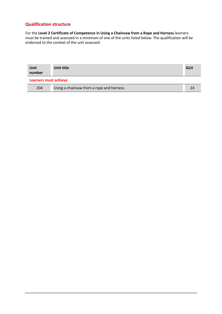#### **Qualification structure**

For the **Level 2 Certificate of Competence in Using a Chainsaw from a Rope and Harness** learners must be trained and assessed in a minimum of one of the units listed below. The qualification will be endorsed to the context of the unit assessed:

| Unit<br>number        | Unit title                               | <b>GLH</b> |  |  |
|-----------------------|------------------------------------------|------------|--|--|
| Learners must achieve |                                          |            |  |  |
| 204                   | Using a chainsaw from a rope and harness | 24         |  |  |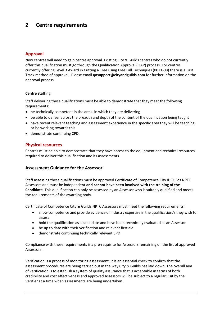## **2 Centre requirements**

#### **Approval**

New centres will need to gain centre approval. Existing City & Guilds centres who do not currently offer this qualification must go through the Qualification Approval (QAP) process. For centres currently offering Level 3 Award in Cutting a Tree using Free Fall Techniques (0021-08) there is a Fast Track method of approval. Please email **[qasupport@cityandguilds.com](mailto:qasupport@cityandguilds.com)** for further information on the approval process

#### **Centre staffing**

Staff delivering these qualifications must be able to demonstrate that they meet the following requirements:

- be technically competent in the areas in which they are delivering
- be able to deliver across the breadth and depth of the content of the qualification being taught
- have recent relevant teaching and assessment experience in the specific area they will be teaching, or be working towards this
- demonstrate continuing CPD.

#### **Physical resources**

Centres must be able to demonstrate that they have access to the equipment and technical resources required to deliver this qualification and its assessments.

#### **Assessment Guidance for the Assessor**

Staff assessing these qualifications must be approved Certificate of Competence City & Guilds NPTC Assessors and must be independent **and cannot have been involved with the training of the Candidate**. This qualification can only be assessed by an Assessor who is suitably qualified and meets the requirements of the awarding body.

Certificate of Competence City & Guilds NPTC Assessors must meet the following requirements:

- show competence and provide evidence of industry expertise in the qualification/s they wish to assess
- hold the qualification as a candidate and have been technically evaluated as an Assessor
- be up to date with their verification and relevant first aid
- demonstrate continuing technically relevant CPD

Compliance with these requirements is a pre-requisite for Assessors remaining on the list of approved Assessors.

Verification is a process of monitoring assessment; it is an essential check to confirm that the assessment procedures are being carried out in the way City & Guilds has laid down. The overall aim of verification is to establish a system of quality assurance that is acceptable in terms of both credibility and cost effectiveness and approved Assessors will be subject to a regular visit by the Verifier at a time when assessments are being undertaken.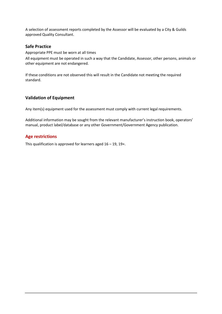A selection of assessment reports completed by the Assessor will be evaluated by a City & Guilds approved Quality Consultant.

#### **Safe Practice**

Appropriate PPE must be worn at all times

All equipment must be operated in such a way that the Candidate, Assessor, other persons, animals or other equipment are not endangered.

If these conditions are not observed this will result in the Candidate not meeting the required standard.

#### **Validation of Equipment**

Any item(s) equipment used for the assessment must comply with current legal requirements.

Additional information may be sought from the relevant manufacturer's instruction book, operators' manual, product label/database or any other Government/Government Agency publication.

#### **Age restrictions**

This qualification is approved for learners aged  $16 - 19$ ,  $19 +$ .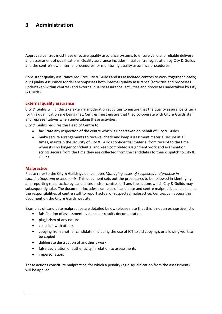## **3 Administration**

Approved centres must have effective quality assurance systems to ensure valid and reliable delivery and assessment of qualifications. Quality assurance includes initial centre registration by City & Guilds and the centre's own internal procedures for monitoring quality assurance procedures.

Consistent quality assurance requires City & Guilds and its associated centres to work together closely; our Quality Assurance Model encompasses both internal quality assurance (activities and processes undertaken within centres) and external quality assurance (activities and processes undertaken by City & Guilds).

#### **External quality assurance**

City & Guilds will undertake external moderation activities to ensure that the quality assurance criteria for this qualification are being met. Centres must ensure that they co-operate with City & Guilds staff and representatives when undertaking these activities.

City & Guilds requires the Head of Centre to

- facilitate any inspection of the centre which is undertaken on behalf of City & Guilds
- make secure arrangements to receive, check and keep assessment material secure at all times, maintain the security of City & Guilds confidential material from receipt to the time when it is no longer confidential and keep completed assignment work and examination scripts secure from the time they are collected from the candidates to their dispatch to City & Guilds.

#### **Malpractice**

Please refer to the City & Guilds guidance notes *Managing cases of suspected malpractice in examinations and assessments*. This document sets out the procedures to be followed in identifying and reporting malpractice by candidates and/or centre staff and the actions which City & Guilds may subsequently take. The document includes examples of candidate and centre malpractice and explains the responsibilities of centre staff to report actual or suspected malpractice. Centres can access this document on the City & Guilds website.

Examples of candidate malpractice are detailed below (please note that this is not an exhaustive list):

- falsification of assessment evidence or results documentation
- plagiarism of any nature
- collusion with others
- copying from another candidate (including the use of ICT to aid copying), or allowing work to be copied
- deliberate destruction of another's work
- false declaration of authenticity in relation to assessments
- impersonation.

These actions constitute malpractice, for which a penalty (eg disqualification from the assessment) will be applied.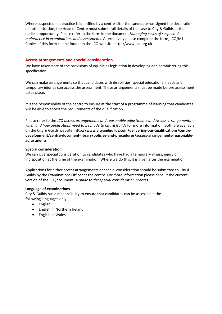Where suspected malpractice is identified by a centre after the candidate has signed the declaration of authentication, the Head of Centre must submit full details of the case to City & Guilds at the earliest opportunity. Please refer to the form in the document *Managing cases of suspected malpractice in examinations and assessments*. Alternatively please complete the form, JCQ/M1. Copies of this form can be found on the JCQ website: http://www.jcq.org.uk

#### **Access arrangements and special consideration**

We have taken note of the provisions of equalities legislation in developing and administering this specification.

We can make arrangements so that candidates with disabilities, special educational needs and temporary injuries can access the assessment. These arrangements must be made before assessment takes place.

It is the responsibility of the centre to ensure at the start of a programme of learning that candidates will be able to access the requirements of the qualification.

Please refer to the *JCQ access arrangements and reasonable adjustments and Access arrangements when and how applications need to be made to City & Guilds* for more information. Both are available on the City & Guilds website: **[http://www.cityandguilds.com/delivering-our-qualifications/centre](http://www.cityandguilds.com/delivering-our-qualifications/centre-development/centre-document-library/policies-and-procedures/access-arrangements-reasonable-adjustments)[development/centre-document-library/policies-and-procedures/access-arrangements-reasonable](http://www.cityandguilds.com/delivering-our-qualifications/centre-development/centre-document-library/policies-and-procedures/access-arrangements-reasonable-adjustments)[adjustments](http://www.cityandguilds.com/delivering-our-qualifications/centre-development/centre-document-library/policies-and-procedures/access-arrangements-reasonable-adjustments)**

#### **Special consideration**

We can give special consideration to candidates who have had a temporary illness, injury or indisposition at the time of the examination. Where we do this, it is given after the examination.

Applications for either access arrangements or special consideration should be submitted to City & Guilds by the Examinations Officer at the centre. For more information please consult the current version of the JCQ document, *A guide to the special consideration process*.

#### **Language of examinations**

City & Guilds has a responsibility to ensure that candidates can be assessed in the following languages only:

- English
- English in Northern Ireland
- English in Wales.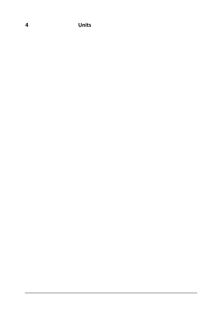**Units**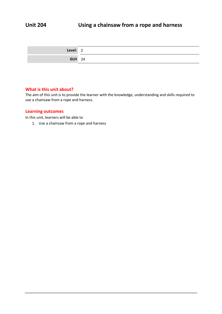| Level: 2      |  |
|---------------|--|
| <b>GLH 24</b> |  |

#### **What is this unit about?**

The aim of this unit is to provide the learner with the knowledge, understanding and skills required to use a chainsaw from a rope and harness.

#### **Learning outcomes**

In this unit, learners will be able to

1. Use a chainsaw from a rope and harness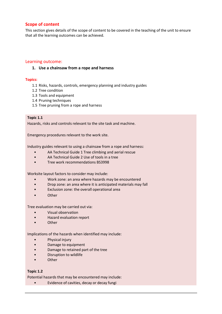#### **Scope of content**

This section gives details of the scope of content to be covered in the teaching of the unit to ensure that all the learning outcomes can be achieved.

#### Learning outcome:

#### **1. Use a chainsaw from a rope and harness**

#### **Topics:**

- 1.1 Risks, hazards, controls, emergency planning and industry guides
- 1.2 Tree condition
- 1.3 Tools and equipment
- 1.4 Pruning techniques
- 1.5 Tree pruning from a rope and harness

#### **Topic 1.1**

Hazards, risks and controls relevant to the site task and machine.

Emergency procedures relevant to the work site.

Industry guides relevant to using a chainsaw from a rope and harness:

- AA Technical Guide 1 Tree climbing and aerial rescue
- AA Technical Guide 2 Use of tools in a tree
- Tree work recommendations BS3998

Worksite layout factors to consider may include:

- Work zone: an area where hazards may be encountered
- Drop zone: an area where it is anticipated materials may fall
- Exclusion zone: the overall operational area
- **Other**

Tree evaluation may be carried out via:

- Visual observation
- Hazard evaluation report
- **Other**

Implications of the hazards when identified may include:

- Physical injury
- Damage to equipment
- Damage to retained part of the tree
- Disruption to wildlife
- Other

#### **Topic 1.2**

Potential hazards that may be encountered may include:

• Evidence of cavities, decay or decay fungi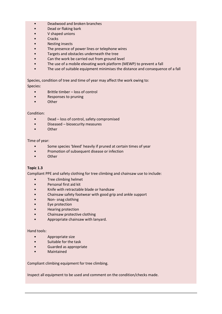- Deadwood and broken branches
- Dead or flaking bark
- V shaped unions
- **Cracks**
- Nesting insects
- The presence of power lines or telephone wires
- Targets and obstacles underneath the tree
- Can the work be carried out from ground level
- The use of a mobile elevating work platform (MEWP) to prevent a fall
- The use of suitable equipment minimises the distance and consequence of a fall

Species, condition of tree and time of year may affect the work owing to:

Species:

- Brittle timber loss of control
- Responses to pruning
- **Other**

#### Condition:

- Dead loss of control, safety compromised
- Diseased biosecurity measures
- Other

#### Time of year:

- Some species 'bleed' heavily if pruned at certain times of year
- Promotion of subsequent disease or infection
- **Other**

#### **Topic 1.3**

Compliant PPE and safety clothing for tree climbing and chainsaw use to include:

- Tree climbing helmet
- Personal first aid kit
- Knife with retractable blade or handsaw
- Chainsaw safety footwear with good grip and ankle support
- Non- snag clothing
- Eye protection
- Hearing protection
- Chainsaw protective clothing
- Appropriate chainsaw with lanyard.

#### Hand tools:

- Appropriate size
- Suitable for the task
- Guarded as appropriate
- **Maintained**

Compliant climbing equipment for tree climbing.

Inspect all equipment to be used and comment on the condition/checks made.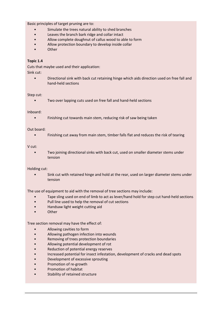Basic principles of target pruning are to:

- Simulate the trees natural ability to shed branches
- Leaves the branch bark ridge and collar intact
- Allow complete doughnut of callus wood to able to form
- Allow protection boundary to develop inside collar
- **Other**

#### **Topic 1.4**

Cuts that maybe used and their application:

Sink cut:

• Directional sink with back cut retaining hinge which aids direction used on free fall and hand-held sections

#### Step cut:

• Two over lapping cuts used on free fall and hand-held sections

Inboard:

• Finishing cut towards main stem, reducing risk of saw being taken

Out board:

• Finishing cut away from main stem, timber falls flat and reduces the risk of tearing

V cut:

• Two joining directional sinks with back cut, used on smaller diameter stems under tension

Holding cut:

• Sink cut with retained hinge and hold at the rear, used on larger diameter stems under tension

The use of equipment to aid with the removal of tree sections may include:

- Tape sling used on end of limb to act as lever/hand hold for step cut hand-held sections
- Pull line used to help the removal of cut sections
- Handsaw light weight cutting aid
- Other

Tree section removal may have the effect of:

- Allowing cavities to form
- Allowing pathogen infection into wounds
- Removing of trees protection boundaries
- Allowing potential development of rot
- Reduction of potential energy reserves
- Increased potential for insect infestation, development of cracks and dead spots
- Development of excessive sprouting
- Promotion of re-growth
- Promotion of habitat
- Stability of retained structure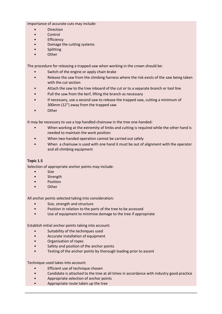Importance of accurate cuts may include:

- **Direction**
- **Control**
- **Efficiency**
- Damage the cutting systems
- **Splitting**
- **Other**

The procedure for releasing a trapped saw when working in the crown should be:

- Switch of the engine or apply chain brake
- Release the saw from the climbing harness where the risk exists of the saw being taken with the cut section
- Attach the saw to the tree inboard of the cut or to a separate branch or tool line
- Pull the saw from the kerf, lifting the branch as necessary
- If necessary, use a second saw to release the trapped saw, cutting a minimum of 300mm (12") away from the trapped saw
- **Other**

It may be necessary to use a top handled chainsaw in the tree one-handed:

- When working at the extremity of limbs and cutting is required while the other hand is needed to maintain the work position
- When two-handed operation cannot be carried out safely
- When a chainsaw is used with one hand it must be out of alignment with the operator and all climbing equipment

#### **Topic 1.5**

Selection of appropriate anchor points may include:

- Size
- **Strength**
- Position
- Other

All anchor points selected taking into consideration:

- Size, strength and structure
- Position in relation to the parts of the tree to be accessed
- Use of equipment to minimise damage to the tree if appropriate

Establish initial anchor points taking into account:

- Suitability of the techniques used
- Accurate installation of equipment
- Organisation of ropes
- Safety and position of the anchor points
- Testing of the anchor points by thorough loading prior to ascent

Technique used takes into account:

- Efficient use of technique chosen
- Candidate is attached to the tree at all times in accordance with industry good practice
- Appropriate selection of anchor points
- Appropriate route taken up the tree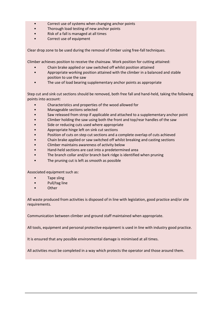- Correct use of systems when changing anchor points
- Thorough load testing of new anchor points
- Risk of a fall is managed at all times
- Correct use of equipment

Clear drop zone to be used during the removal of timber using free-fall techniques.

Climber achieves position to receive the chainsaw. Work position for cutting attained:

- Chain brake applied or saw switched off whilst position attained
- Appropriate working position attained with the climber in a balanced and stable position to use the saw
- The use of load bearing supplementary anchor points as appropriate

Step cut and sink cut sections should be removed, both free fall and hand-held, taking the following points into account:

- Characteristics and properties of the wood allowed for
- Manageable sections selected
- Saw released from strop if applicable and attached to a supplementary anchor point
- Climber holding the saw using both the front and top/rear handles of the saw
- Side or reducing cuts used where appropriate
- Appropriate hinge left on sink cut sections
- Position of cuts on step cut sections and a complete overlap of cuts achieved
- Chain brake applied or saw switched off whilst breaking and casting sections
- Climber maintains awareness of activity below
- Hand-held sections are cast into a predetermined area
- The branch collar and/or branch bark ridge is identified when pruning
- The pruning cut is left as smooth as possible

Associated equipment such as:

- Tape sling
- Pull/tag line
- **Other**

All waste produced from activities is disposed of in line with legislation, good practice and/or site requirements.

Communication between climber and ground staff maintained when appropriate.

All tools, equipment and personal protective equipment is used in line with industry good practice.

It is ensured that any possible environmental damage is minimised at all times.

All activities must be completed in a way which protects the operator and those around them.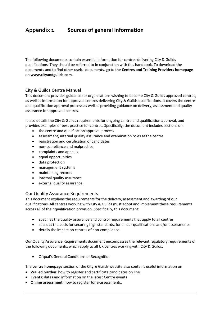# **Appendix 1 Sources of general information**

The following documents contain essential information for centres delivering City & Guilds qualifications. They should be referred to in conjunction with this handbook. To download the documents and to find other useful documents, go to the **Centres and Training Providers homepage** on **www.cityandguilds.com**.

#### City & Guilds Centre Manual

This document provides guidance for organisations wishing to become City & Guilds approved centres, as well as information for approved centres delivering City & Guilds qualifications. It covers the centre and qualification approval process as well as providing guidance on delivery, assessment and quality assurance for approved centres.

It also details the City & Guilds requirements for ongoing centre and qualification approval, and provides examples of best practice for centres. Specifically, the document includes sections on:

- the centre and qualification approval process
- assessment, internal quality assurance and examination roles at the centre
- registration and certification of candidates
- non-compliance and malpractice
- complaints and appeals
- equal opportunities
- data protection
- management systems
- maintaining records
- internal quality assurance
- external quality assurance.

#### Our Quality Assurance Requirements

This document explains the requirements for the delivery, assessment and awarding of our qualifications. All centres working with City & Guilds must adopt and implement these requirements across all of their qualification provision. Specifically, this document:

- specifies the quality assurance and control requirements that apply to all centres
- sets out the basis for securing high standards, for all our qualifications and/or assessments
- details the impact on centres of non-compliance

Our Quality Assurance Requirements document encompasses the relevant regulatory requirements of the following documents, which apply to all UK centres working with City & Guilds:

• Ofqual's General Conditions of Recognition

The **centre homepage** section of the City & Guilds website also contains useful information on

- **Walled Garden**: how to register and certificate candidates on line
- **Events**: dates and information on the latest Centre events
- **Online assessment**: how to register for e-assessments.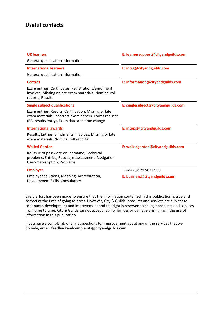## **Useful contacts**

| <b>UK learners</b>                                                                                                                                              | E: learnersupport@cityandguilds.com |  |
|-----------------------------------------------------------------------------------------------------------------------------------------------------------------|-------------------------------------|--|
| General qualification information                                                                                                                               |                                     |  |
| <b>International learners</b>                                                                                                                                   | E: intcg@cityandguilds.com          |  |
| General qualification information                                                                                                                               |                                     |  |
| <b>Centres</b>                                                                                                                                                  | E: information@cityandguilds.com    |  |
| Exam entries, Certificates, Registrations/enrolment,<br>Invoices, Missing or late exam materials, Nominal roll<br>reports, Results                              |                                     |  |
| <b>Single subject qualifications</b>                                                                                                                            | E: singlesubjects@cityandguilds.com |  |
| Exam entries, Results, Certification, Missing or late<br>exam materials, Incorrect exam papers, Forms request<br>(BB, results entry), Exam date and time change |                                     |  |
| <b>International awards</b>                                                                                                                                     | E: intops@cityandguilds.com         |  |
| Results, Entries, Enrolments, Invoices, Missing or late<br>exam materials, Nominal roll reports                                                                 |                                     |  |
| <b>Walled Garden</b>                                                                                                                                            | E: walledgarden@cityandguilds.com   |  |
| Re-issue of password or username, Technical<br>problems, Entries, Results, e-assessment, Navigation,<br>User/menu option, Problems                              |                                     |  |
| <b>Employer</b>                                                                                                                                                 | T: +44 (0)121 503 8993              |  |
| Employer solutions, Mapping, Accreditation,<br>Development Skills, Consultancy                                                                                  | E: business@cityandguilds.com       |  |

Every effort has been made to ensure that the information contained in this publication is true and correct at the time of going to press. However, City & Guilds' products and services are subject to continuous development and improvement and the right is reserved to change products and services from time to time. City & Guilds cannot accept liability for loss or damage arising from the use of information in this publication.

If you have a complaint, or any suggestions for improvement about any of the services that we provide, email: **[feedbackandcomplaints@cityandguilds.com](mailto:feedbackandcomplaints@cityandguilds.com)**